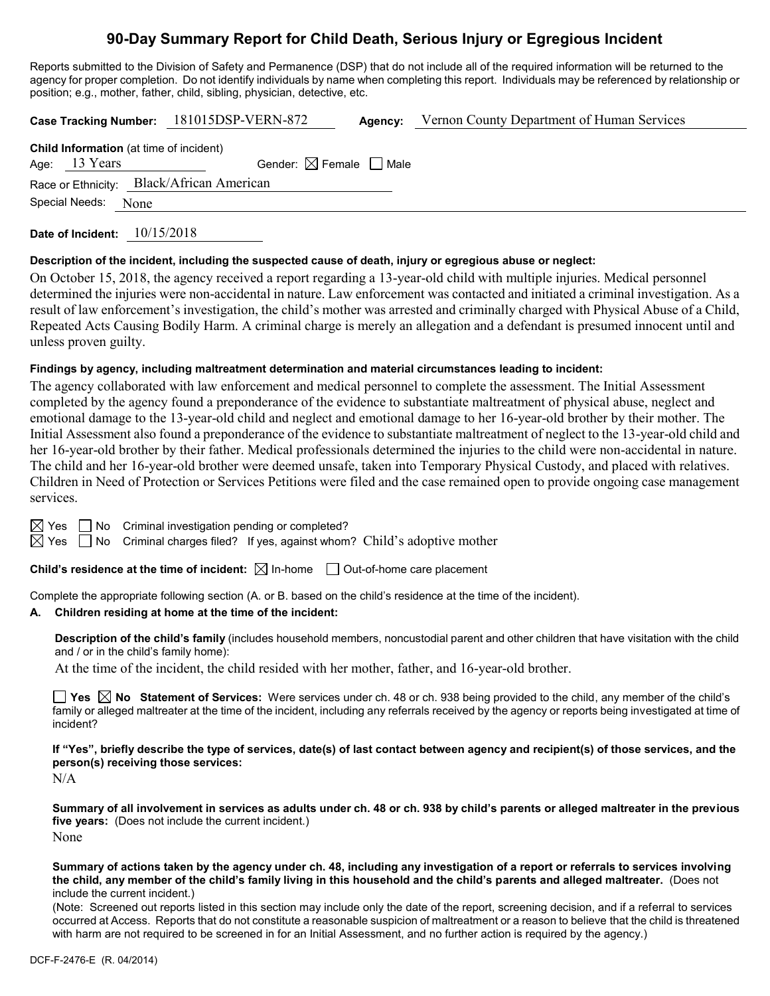# **90-Day Summary Report for Child Death, Serious Injury or Egregious Incident**

Reports submitted to the Division of Safety and Permanence (DSP) that do not include all of the required information will be returned to the agency for proper completion. Do not identify individuals by name when completing this report. Individuals may be referenced by relationship or position; e.g., mother, father, child, sibling, physician, detective, etc.

|                     | Case Tracking Number: 181015DSP-VERN-872  |                                        | Agency: | Vernon County Department of Human Services |
|---------------------|-------------------------------------------|----------------------------------------|---------|--------------------------------------------|
| Age: $13$ Years     | Child Information (at time of incident)   | Gender: $\boxtimes$ Female $\Box$ Male |         |                                            |
| Special Needs: None | Race or Ethnicity: Black/African American |                                        |         |                                            |
|                     |                                           |                                        |         |                                            |

**Date of Incident:** 10/15/2018

#### **Description of the incident, including the suspected cause of death, injury or egregious abuse or neglect:**

On October 15, 2018, the agency received a report regarding a 13-year-old child with multiple injuries. Medical personnel determined the injuries were non-accidental in nature. Law enforcement was contacted and initiated a criminal investigation. As a result of law enforcement's investigation, the child's mother was arrested and criminally charged with Physical Abuse of a Child, Repeated Acts Causing Bodily Harm. A criminal charge is merely an allegation and a defendant is presumed innocent until and unless proven guilty.

#### **Findings by agency, including maltreatment determination and material circumstances leading to incident:**

The agency collaborated with law enforcement and medical personnel to complete the assessment. The Initial Assessment completed by the agency found a preponderance of the evidence to substantiate maltreatment of physical abuse, neglect and emotional damage to the 13-year-old child and neglect and emotional damage to her 16-year-old brother by their mother. The Initial Assessment also found a preponderance of the evidence to substantiate maltreatment of neglect to the 13-year-old child and her 16-year-old brother by their father. Medical professionals determined the injuries to the child were non-accidental in nature. The child and her 16-year-old brother were deemed unsafe, taken into Temporary Physical Custody, and placed with relatives. Children in Need of Protection or Services Petitions were filed and the case remained open to provide ongoing case management services.

 $\boxtimes$  Yes  $\Box$  No Criminal investigation pending or completed?

 $\boxtimes$  Yes  $\Box$  No Criminal charges filed? If yes, against whom? Child's adoptive mother

**Child's residence at the time of incident:**  $\boxtimes$  In-home  $\Box$  Out-of-home care placement

Complete the appropriate following section (A. or B. based on the child's residence at the time of the incident).

## **A. Children residing at home at the time of the incident:**

**Description of the child's family** (includes household members, noncustodial parent and other children that have visitation with the child and / or in the child's family home):

At the time of the incident, the child resided with her mother, father, and 16-year-old brother.

**Yes No Statement of Services:** Were services under ch. 48 or ch. 938 being provided to the child, any member of the child's family or alleged maltreater at the time of the incident, including any referrals received by the agency or reports being investigated at time of incident?

**If "Yes", briefly describe the type of services, date(s) of last contact between agency and recipient(s) of those services, and the person(s) receiving those services:**

N/A

**Summary of all involvement in services as adults under ch. 48 or ch. 938 by child's parents or alleged maltreater in the previous five years:** (Does not include the current incident.) None

**Summary of actions taken by the agency under ch. 48, including any investigation of a report or referrals to services involving the child, any member of the child's family living in this household and the child's parents and alleged maltreater.** (Does not include the current incident.)

(Note: Screened out reports listed in this section may include only the date of the report, screening decision, and if a referral to services occurred at Access. Reports that do not constitute a reasonable suspicion of maltreatment or a reason to believe that the child is threatened with harm are not required to be screened in for an Initial Assessment, and no further action is required by the agency.)